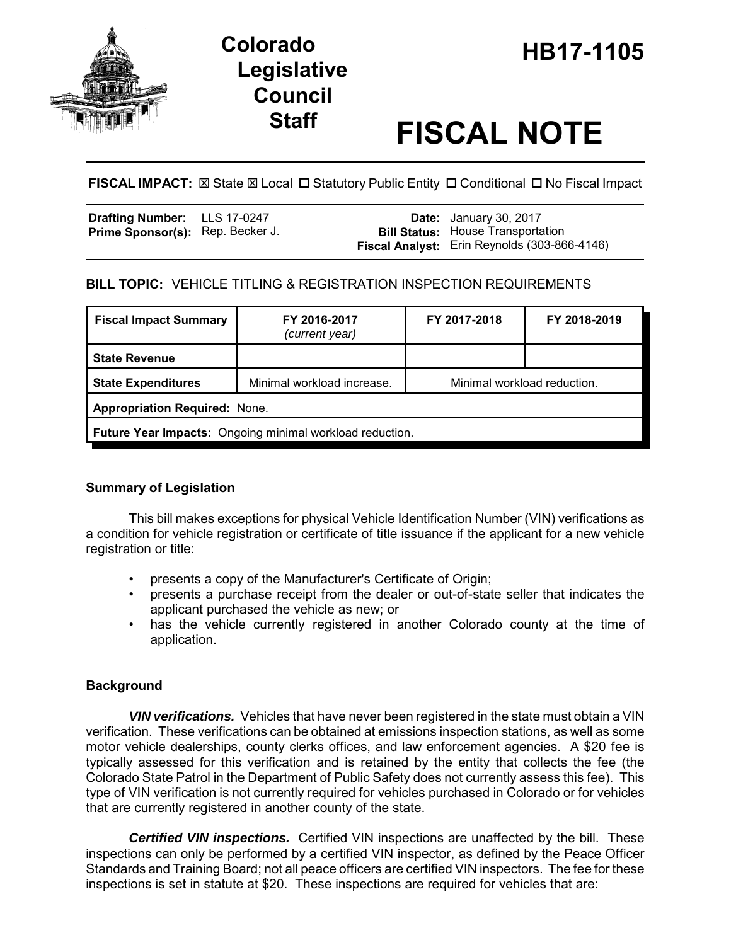

# **Legislative Council**

## **Staff FISCAL NOTE**

**FISCAL IMPACT:** ⊠ State ⊠ Local □ Statutory Public Entity □ Conditional □ No Fiscal Impact

| Drafting Number: LLS 17-0247            |  | <b>Date:</b> January 30, 2017                |
|-----------------------------------------|--|----------------------------------------------|
| <b>Prime Sponsor(s):</b> Rep. Becker J. |  | <b>Bill Status:</b> House Transportation     |
|                                         |  | Fiscal Analyst: Erin Reynolds (303-866-4146) |

### **BILL TOPIC:** VEHICLE TITLING & REGISTRATION INSPECTION REQUIREMENTS

| <b>Fiscal Impact Summary</b>                                    | FY 2016-2017<br>(current year) | FY 2017-2018                | FY 2018-2019 |  |  |
|-----------------------------------------------------------------|--------------------------------|-----------------------------|--------------|--|--|
| <b>State Revenue</b>                                            |                                |                             |              |  |  |
| <b>State Expenditures</b>                                       | Minimal workload increase.     | Minimal workload reduction. |              |  |  |
| <b>Appropriation Required: None.</b>                            |                                |                             |              |  |  |
| <b>Future Year Impacts:</b> Ongoing minimal workload reduction. |                                |                             |              |  |  |

### **Summary of Legislation**

This bill makes exceptions for physical Vehicle Identification Number (VIN) verifications as a condition for vehicle registration or certificate of title issuance if the applicant for a new vehicle registration or title:

- presents a copy of the Manufacturer's Certificate of Origin;
- presents a purchase receipt from the dealer or out-of-state seller that indicates the applicant purchased the vehicle as new; or
- has the vehicle currently registered in another Colorado county at the time of application.

### **Background**

*VIN verifications.* Vehicles that have never been registered in the state must obtain a VIN verification. These verifications can be obtained at emissions inspection stations, as well as some motor vehicle dealerships, county clerks offices, and law enforcement agencies. A \$20 fee is typically assessed for this verification and is retained by the entity that collects the fee (the Colorado State Patrol in the Department of Public Safety does not currently assess this fee). This type of VIN verification is not currently required for vehicles purchased in Colorado or for vehicles that are currently registered in another county of the state.

*Certified VIN inspections.* Certified VIN inspections are unaffected by the bill. These inspections can only be performed by a certified VIN inspector, as defined by the Peace Officer Standards and Training Board; not all peace officers are certified VIN inspectors. The fee for these inspections is set in statute at \$20. These inspections are required for vehicles that are: